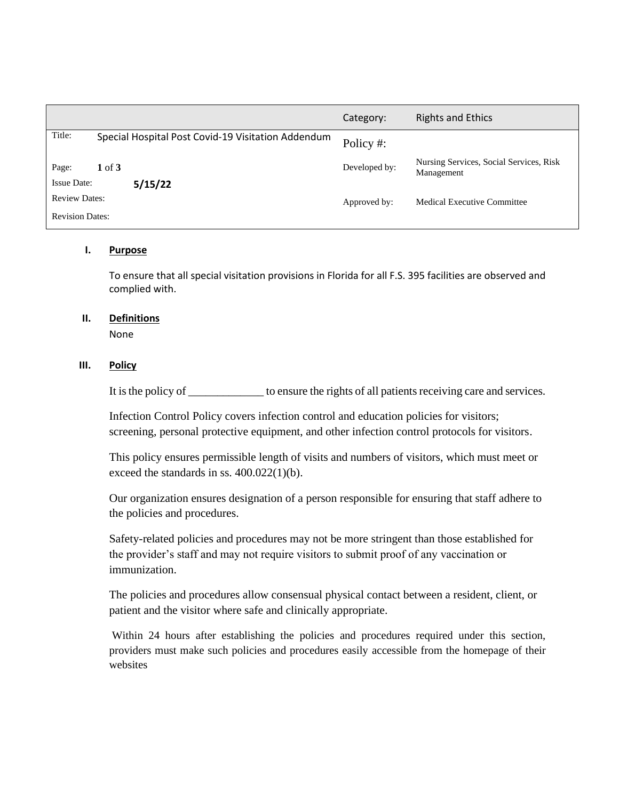|                               |                                                    | Category:     | <b>Rights and Ethics</b>                              |
|-------------------------------|----------------------------------------------------|---------------|-------------------------------------------------------|
| Title:                        | Special Hospital Post Covid-19 Visitation Addendum | Policy #:     |                                                       |
| Page:                         | $1 \text{ of } 3$                                  | Developed by: | Nursing Services, Social Services, Risk<br>Management |
| <b>Issue Date:</b><br>5/15/22 |                                                    |               |                                                       |
| <b>Review Dates:</b>          |                                                    | Approved by:  | <b>Medical Executive Committee</b>                    |
| <b>Revision Dates:</b>        |                                                    |               |                                                       |

### **I. Purpose**

To ensure that all special visitation provisions in Florida for all F.S. 395 facilities are observed and complied with.

# **II. Definitions**

None

#### **III. Policy**

It is the policy of \_\_\_\_\_\_\_\_\_\_\_\_\_ to ensure the rights of all patients receiving care and services.

Infection Control Policy covers infection control and education policies for visitors; screening, personal protective equipment, and other infection control protocols for visitors.

This policy ensures permissible length of visits and numbers of visitors, which must meet or exceed the standards in ss. 400.022(1)(b).

Our organization ensures designation of a person responsible for ensuring that staff adhere to the policies and procedures.

Safety-related policies and procedures may not be more stringent than those established for the provider's staff and may not require visitors to submit proof of any vaccination or immunization.

The policies and procedures allow consensual physical contact between a resident, client, or patient and the visitor where safe and clinically appropriate.

Within 24 hours after establishing the policies and procedures required under this section, providers must make such policies and procedures easily accessible from the homepage of their websites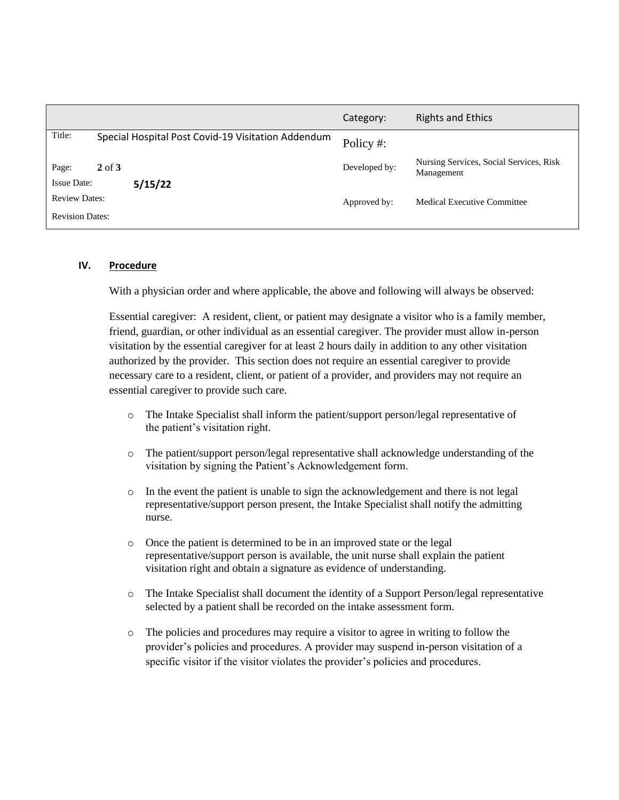|                               |                                                    | Category:     | <b>Rights and Ethics</b>                              |
|-------------------------------|----------------------------------------------------|---------------|-------------------------------------------------------|
| Title:                        | Special Hospital Post Covid-19 Visitation Addendum | Policy #:     |                                                       |
| Page:                         | $2$ of $3$                                         | Developed by: | Nursing Services, Social Services, Risk<br>Management |
| <b>Issue Date:</b><br>5/15/22 |                                                    |               |                                                       |
| <b>Review Dates:</b>          |                                                    | Approved by:  | Medical Executive Committee                           |
| <b>Revision Dates:</b>        |                                                    |               |                                                       |

#### **IV. Procedure**

With a physician order and where applicable, the above and following will always be observed:

Essential caregiver: A resident, client, or patient may designate a visitor who is a family member, friend, guardian, or other individual as an essential caregiver. The provider must allow in-person visitation by the essential caregiver for at least 2 hours daily in addition to any other visitation authorized by the provider. This section does not require an essential caregiver to provide necessary care to a resident, client, or patient of a provider, and providers may not require an essential caregiver to provide such care.

- o The Intake Specialist shall inform the patient/support person/legal representative of the patient's visitation right.
- o The patient/support person/legal representative shall acknowledge understanding of the visitation by signing the Patient's Acknowledgement form.
- $\circ$  In the event the patient is unable to sign the acknowledgement and there is not legal representative/support person present, the Intake Specialist shall notify the admitting nurse.
- o Once the patient is determined to be in an improved state or the legal representative/support person is available, the unit nurse shall explain the patient visitation right and obtain a signature as evidence of understanding.
- o The Intake Specialist shall document the identity of a Support Person/legal representative selected by a patient shall be recorded on the intake assessment form.
- o The policies and procedures may require a visitor to agree in writing to follow the provider's policies and procedures. A provider may suspend in-person visitation of a specific visitor if the visitor violates the provider's policies and procedures.